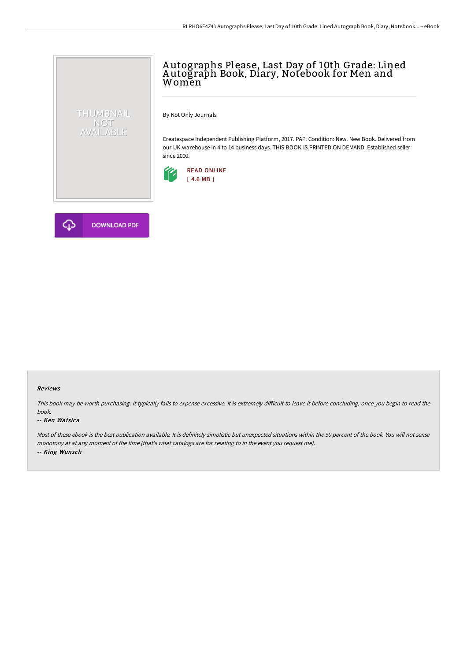# A utographs Please, Last Day of 10th Grade: Lined A utograph Book, Diary, Notebook for Men and Women

By Not Only Journals

Createspace Independent Publishing Platform, 2017. PAP. Condition: New. New Book. Delivered from our UK warehouse in 4 to 14 business days. THIS BOOK IS PRINTED ON DEMAND. Established seller since 2000.





THUMBNAIL NOT<br>AVAILABLE

#### Reviews

This book may be worth purchasing. It typically fails to expense excessive. It is extremely difficult to leave it before concluding, once you begin to read the book.

#### -- Ken Watsica

Most of these ebook is the best publication available. It is definitely simplistic but unexpected situations within the 50 percent of the book. You will not sense monotony at at any moment of the time (that's what catalogs are for relating to in the event you request me). -- King Wunsch